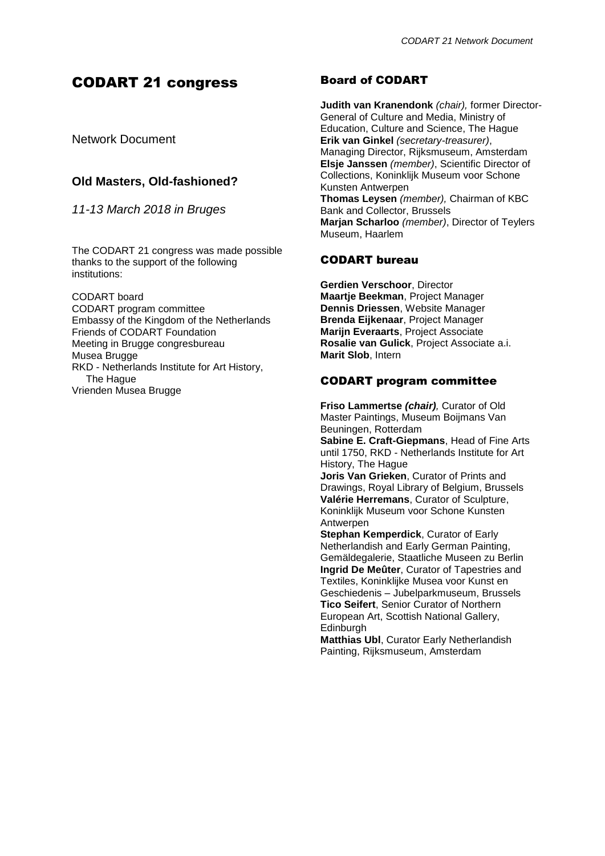# CODART 21 congress

Network Document

# **Old Masters, Old-fashioned?**

*11-13 March 2018 in Bruges*

The CODART 21 congress was made possible thanks to the support of the following institutions:

CODART board CODART program committee Embassy of the Kingdom of the Netherlands Friends of CODART Foundation Meeting in Brugge congresbureau Musea Brugge RKD - Netherlands Institute for Art History, The Hague Vrienden Musea Brugge

# Board of CODART

**Judith van Kranendonk** *(chair),* former Director-General of Culture and Media, Ministry of Education, Culture and Science, The Hague **Erik van Ginkel** *(secretary-treasurer)*, Managing Director, Rijksmuseum, Amsterdam **Elsje Janssen** *(member)*, Scientific Director of Collections, Koninklijk Museum voor Schone Kunsten Antwerpen **Thomas Leysen** *(member),* Chairman of KBC Bank and Collector, Brussels **Marjan Scharloo** *(member)*, Director of Teylers Museum, Haarlem

# CODART bureau

**Gerdien Verschoor**, Director **Maartje Beekman**, Project Manager **Dennis Driessen**, Website Manager **Brenda Eijkenaar**, Project Manager **Marijn Everaarts**, Project Associate **Rosalie van Gulick**, Project Associate a.i. **Marit Slob**, Intern

# CODART program committee

**Friso Lammertse** *(chair),* Curator of Old Master Paintings, Museum Boijmans Van Beuningen, Rotterdam **Sabine E. Craft-Giepmans**, Head of Fine Arts until 1750, RKD - Netherlands Institute for Art History, The Hague **Joris Van Grieken**, Curator of Prints and Drawings, Royal Library of Belgium, Brussels **Valérie Herremans**, Curator of Sculpture, Koninklijk Museum voor Schone Kunsten Antwerpen

**Stephan Kemperdick**, Curator of Early Netherlandish and Early German Painting, Gemäldegalerie, Staatliche Museen zu Berlin **Ingrid De Meûter**, Curator of Tapestries and Textiles, Koninklijke Musea voor Kunst en Geschiedenis – Jubelparkmuseum, Brussels **Tico Seifert**, Senior Curator of Northern European Art, Scottish National Gallery, **Edinburgh** 

**Matthias Ubl**, Curator Early Netherlandish Painting, Rijksmuseum, Amsterdam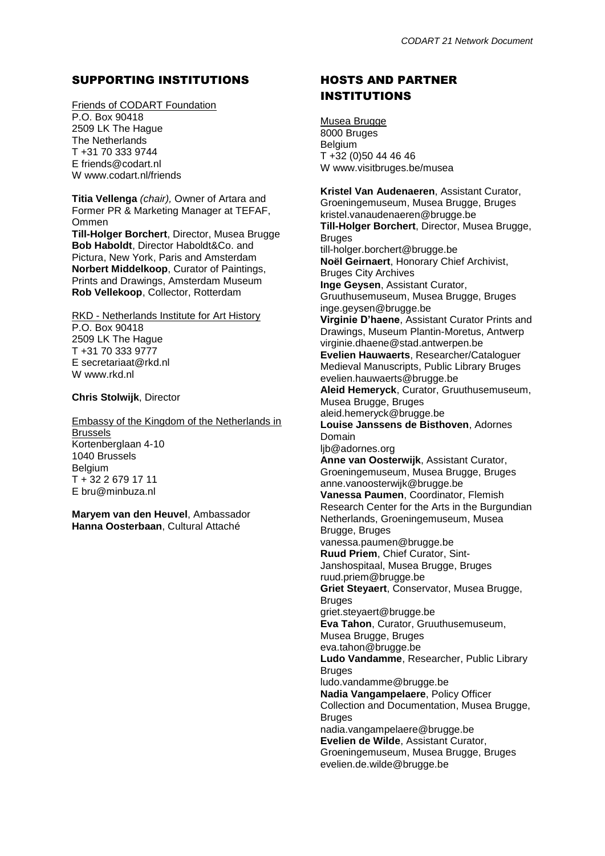# SUPPORTING INSTITUTIONS

Friends of CODART Foundation P.O. Box 90418 2509 LK The Hague The Netherlands T +31 70 333 9744 E friends@codart.nl W www.codart.nl/friends

**Titia Vellenga** *(chair),* Owner of Artara and Former PR & Marketing Manager at TEFAF, Ommen

**Till-Holger Borchert**, Director, Musea Brugge **Bob Haboldt**, Director Haboldt&Co. and Pictura, New York, Paris and Amsterdam **Norbert Middelkoop**, Curator of Paintings, Prints and Drawings, Amsterdam Museum **Rob Vellekoop**, Collector, Rotterdam

RKD - Netherlands Institute for Art History P.O. Box 90418 2509 LK The Hague T +31 70 333 9777 E secretariaat@rkd.nl W www.rkd.nl

**Chris Stolwijk**, Director

Embassy of the Kingdom of the Netherlands in Brussels Kortenberglaan 4-10 1040 Brussels **Belgium** T + 32 2 679 17 11 E bru@minbuza.nl

**Maryem van den Heuvel**, Ambassador **Hanna Oosterbaan**, Cultural Attaché

# HOSTS AND PARTNER INSTITUTIONS

Musea Brugge 8000 Bruges Belgium T +32 (0)50 44 46 46 W www.visitbruges.be/musea

**Kristel Van Audenaeren**, Assistant Curator, Groeningemuseum, Musea Brugge, Bruges kristel.vanaudenaeren@brugge.be **Till-Holger Borchert**, Director, Musea Brugge, Bruges till-holger.borchert@brugge.be **Noël Geirnaert**, Honorary Chief Archivist, Bruges City Archives **Inge Geysen**, Assistant Curator, Gruuthusemuseum, Musea Brugge, Bruges inge.geysen@brugge.be **Virginie D'haene**, Assistant Curator Prints and Drawings, Museum Plantin-Moretus, Antwerp virginie.dhaene@stad.antwerpen.be **Evelien Hauwaerts**, Researcher/Cataloguer Medieval Manuscripts, Public Library Bruges evelien.hauwaerts@brugge.be **Aleid Hemeryck**, Curator, Gruuthusemuseum, Musea Brugge, Bruges aleid.hemeryck@brugge.be **Louise Janssens de Bisthoven**, Adornes Domain lib@adornes.org **Anne van Oosterwijk**, Assistant Curator, Groeningemuseum, Musea Brugge, Bruges anne.vanoosterwijk@brugge.be **Vanessa Paumen**, Coordinator, Flemish Research Center for the Arts in the Burgundian Netherlands, Groeningemuseum, Musea Brugge, Bruges vanessa.paumen@brugge.be **Ruud Priem**, Chief Curator, Sint-Janshospitaal, Musea Brugge, Bruges ruud.priem@brugge.be **Griet Steyaert**, Conservator, Musea Brugge, **Bruges** griet.steyaert@brugge.be **Eva Tahon**, Curator, Gruuthusemuseum, Musea Brugge, Bruges eva.tahon@brugge.be **Ludo Vandamme**, Researcher, Public Library **Bruges** ludo.vandamme@brugge.be **Nadia Vangampelaere**, Policy Officer Collection and Documentation, Musea Brugge, Bruges nadia.vangampelaere@brugge.be **Evelien de Wilde**, Assistant Curator, Groeningemuseum, Musea Brugge, Bruges evelien.de.wilde@brugge.be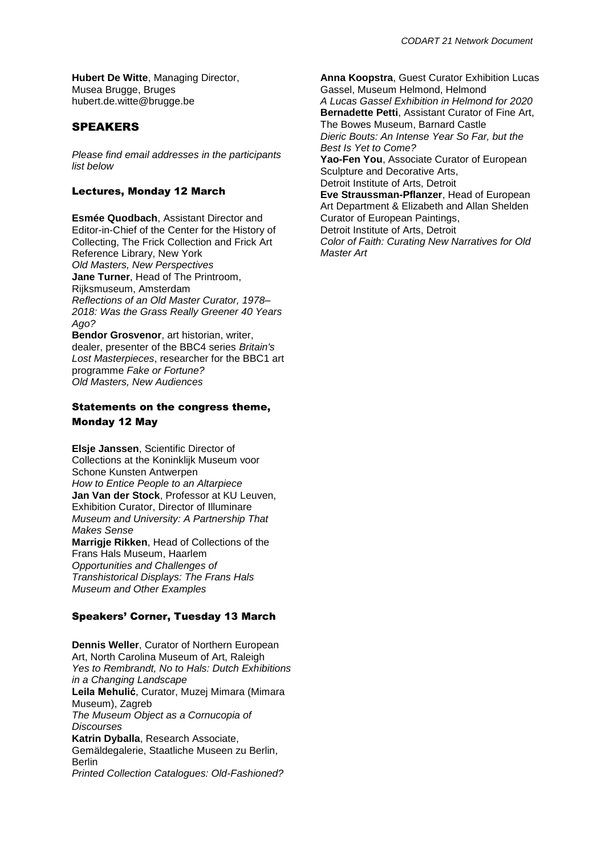# SPEAKERS

*Please find email addresses in the participants list below*

## Lectures, Monday 12 March

**Esmée Quodbach**, Assistant Director and Editor-in-Chief of the Center for the History of Collecting, The Frick Collection and Frick Art Reference Library, New York *Old Masters, New Perspectives* **Jane Turner**, Head of The Printroom, Rijksmuseum, Amsterdam *Reflections of an Old Master Curator, 1978– 2018: Was the Grass Really Greener 40 Years Ago?* **Bendor Grosvenor**, art historian, writer,

dealer, presenter of the BBC4 series *Britain's Lost Masterpieces*, researcher for the BBC1 art programme *Fake or Fortune? Old Masters, New Audiences*

# Statements on the congress theme, Monday 12 May

**Elsje Janssen**, Scientific Director of Collections at the Koninklijk Museum voor Schone Kunsten Antwerpen *How to Entice People to an Altarpiece*  **Jan Van der Stock**, Professor at KU Leuven, Exhibition Curator, Director of Illuminare *Museum and University: A Partnership That Makes Sense*  **Marrigje Rikken**, Head of Collections of the Frans Hals Museum, Haarlem *Opportunities and Challenges of Transhistorical Displays: The Frans Hals Museum and Other Examples*

## Speakers' Corner, Tuesday 13 March

**Dennis Weller**, Curator of Northern European Art, North Carolina Museum of Art, Raleigh *Yes to Rembrandt, No to Hals: Dutch Exhibitions in a Changing Landscape* **Leila Mehulić**, Curator, Muzej Mimara (Mimara Museum), Zagreb *The Museum Object as a Cornucopia of Discourses* **Katrin Dyballa**, Research Associate, Gemäldegalerie, Staatliche Museen zu Berlin, **Berlin** *Printed Collection Catalogues: Old-Fashioned?*

**Anna Koopstra**, Guest Curator Exhibition Lucas Gassel, Museum Helmond, Helmond *A Lucas Gassel Exhibition in Helmond for 2020* **Bernadette Petti**, Assistant Curator of Fine Art, The Bowes Museum, Barnard Castle *Dieric Bouts: An Intense Year So Far, but the Best Is Yet to Come?* **Yao-Fen You**, Associate Curator of European Sculpture and Decorative Arts, Detroit Institute of Arts, Detroit **Eve Straussman-Pflanzer**, Head of European Art Department & Elizabeth and Allan Shelden Curator of European Paintings, Detroit Institute of Arts, Detroit *Color of Faith: Curating New Narratives for Old Master Art*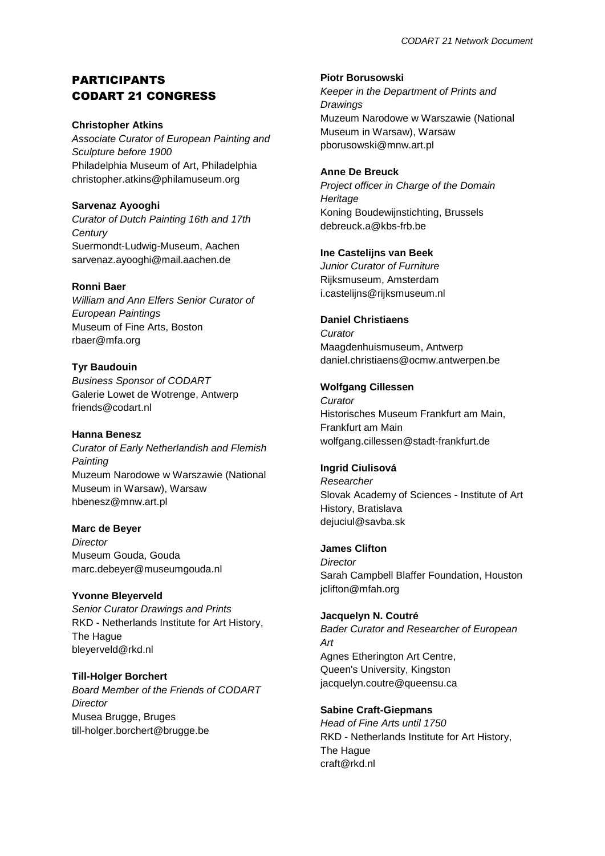# PARTICIPANTS CODART 21 CONGRESS

#### **Christopher Atkins**

*Associate Curator of European Painting and Sculpture before 1900* Philadelphia Museum of Art, Philadelphia christopher.atkins@philamuseum.org

## **Sarvenaz Ayooghi**

*Curator of Dutch Painting 16th and 17th Century* Suermondt-Ludwig-Museum, Aachen sarvenaz.ayooghi@mail.aachen.de

### **Ronni Baer**

*William and Ann Elfers Senior Curator of European Paintings* Museum of Fine Arts, Boston rbaer@mfa.org

# **Tyr Baudouin**

*Business Sponsor of CODART* Galerie Lowet de Wotrenge, Antwerp friends@codart.nl

## **Hanna Benesz**

*Curator of Early Netherlandish and Flemish Painting* Muzeum Narodowe w Warszawie (National Museum in Warsaw), Warsaw hbenesz@mnw.art.pl

## **Marc de Beyer**

*Director* Museum Gouda, Gouda marc.debeyer@museumgouda.nl

## **Yvonne Bleyerveld**

*Senior Curator Drawings and Prints* RKD - Netherlands Institute for Art History, The Hague bleyerveld@rkd.nl

## **Till-Holger Borchert**

*Board Member of the Friends of CODART Director* Musea Brugge, Bruges till-holger.borchert@brugge.be

#### **Piotr Borusowski**

*Keeper in the Department of Prints and Drawings* Muzeum Narodowe w Warszawie (National Museum in Warsaw), Warsaw pborusowski@mnw.art.pl

### **Anne De Breuck**

*Project officer in Charge of the Domain Heritage* Koning Boudewijnstichting, Brussels debreuck.a@kbs-frb.be

## **Ine Castelijns van Beek**

*Junior Curator of Furniture* Rijksmuseum, Amsterdam i.castelijns@rijksmuseum.nl

### **Daniel Christiaens**

*Curator* Maagdenhuismuseum, Antwerp daniel.christiaens@ocmw.antwerpen.be

### **Wolfgang Cillessen**

*Curator* Historisches Museum Frankfurt am Main, Frankfurt am Main wolfgang.cillessen@stadt-frankfurt.de

## **Ingrid Ciulisová**

*Researcher* Slovak Academy of Sciences - Institute of Art History, Bratislava dejuciul@savba.sk

#### **James Clifton**

*Director* Sarah Campbell Blaffer Foundation, Houston jclifton@mfah.org

#### **Jacquelyn N. Coutré**

*Bader Curator and Researcher of European Art* Agnes Etherington Art Centre, Queen's University, Kingston jacquelyn.coutre@queensu.ca

## **Sabine Craft-Giepmans**

*Head of Fine Arts until 1750* RKD - Netherlands Institute for Art History, The Hague craft@rkd.nl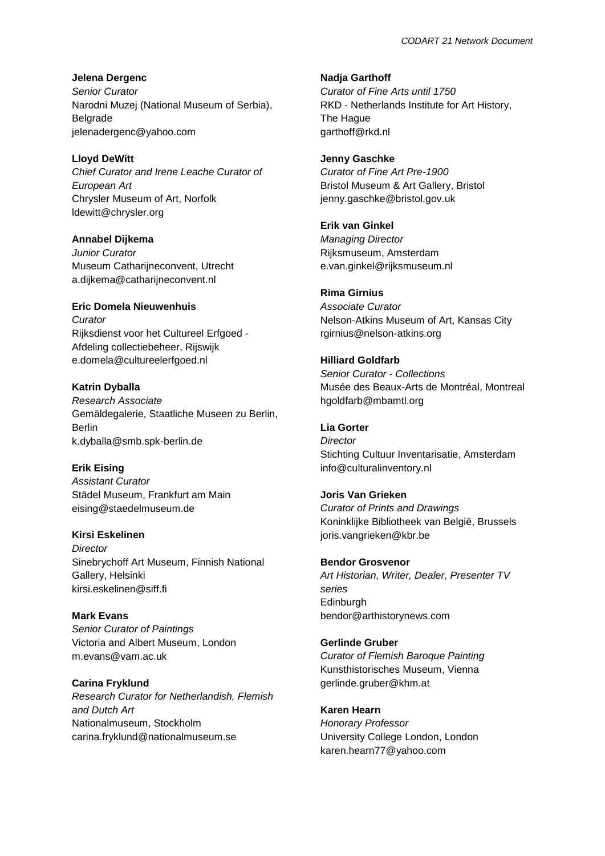**Jelena Dergenc** *Senior Curator* Narodni Muzej (National Museum of Serbia), Belgrade jelenadergenc@yahoo.com

**Lloyd DeWitt** *Chief Curator and Irene Leache Curator of European Art* Chrysler Museum of Art, Norfolk ldewitt@chrysler.org

**Annabel Dijkema** *Junior Curator* Museum Catharijneconvent, Utrecht a.dijkema@catharijneconvent.nl

**Eric Domela Nieuwenhuis** *Curator* Rijksdienst voor het Cultureel Erfgoed - Afdeling collectiebeheer, Rijswijk e.domela@cultureelerfgoed.nl

**Katrin Dyballa** *Research Associate* Gemäldegalerie, Staatliche Museen zu Berlin, Berlin k.dyballa@smb.spk-berlin.de

**Erik Eising** *Assistant Curator* Städel Museum, Frankfurt am Main eising@staedelmuseum.de

**Kirsi Eskelinen** *Director* Sinebrychoff Art Museum, Finnish National Gallery, Helsinki kirsi.eskelinen@siff.fi

**Mark Evans** *Senior Curator of Paintings* Victoria and Albert Museum, London m.evans@vam.ac.uk

**Carina Fryklund** *Research Curator for Netherlandish, Flemish and Dutch Art* Nationalmuseum, Stockholm carina.fryklund@nationalmuseum.se

**Nadja Garthoff** *Curator of Fine Arts until 1750* RKD - Netherlands Institute for Art History, The Hague garthoff@rkd.nl

**Jenny Gaschke** *Curator of Fine Art Pre-1900* Bristol Museum & Art Gallery, Bristol jenny.gaschke@bristol.gov.uk

**Erik van Ginkel** *Managing Director* Rijksmuseum, Amsterdam e.van.ginkel@rijksmuseum.nl

**Rima Girnius** *Associate Curator* Nelson-Atkins Museum of Art, Kansas City rgirnius@nelson-atkins.org

**Hilliard Goldfarb** *Senior Curator - Collections* Musée des Beaux-Arts de Montréal, Montreal hgoldfarb@mbamtl.org

**Lia Gorter** *Director* Stichting Cultuur Inventarisatie, Amsterdam info@culturalinventory.nl

**Joris Van Grieken** *Curator of Prints and Drawings* Koninklijke Bibliotheek van België, Brussels joris.vangrieken@kbr.be

**Bendor Grosvenor** *Art Historian, Writer, Dealer, Presenter TV series* **Edinburgh** bendor@arthistorynews.com

**Gerlinde Gruber** *Curator of Flemish Baroque Painting* Kunsthistorisches Museum, Vienna gerlinde.gruber@khm.at

**Karen Hearn** *Honorary Professor* University College London, London karen.hearn77@yahoo.com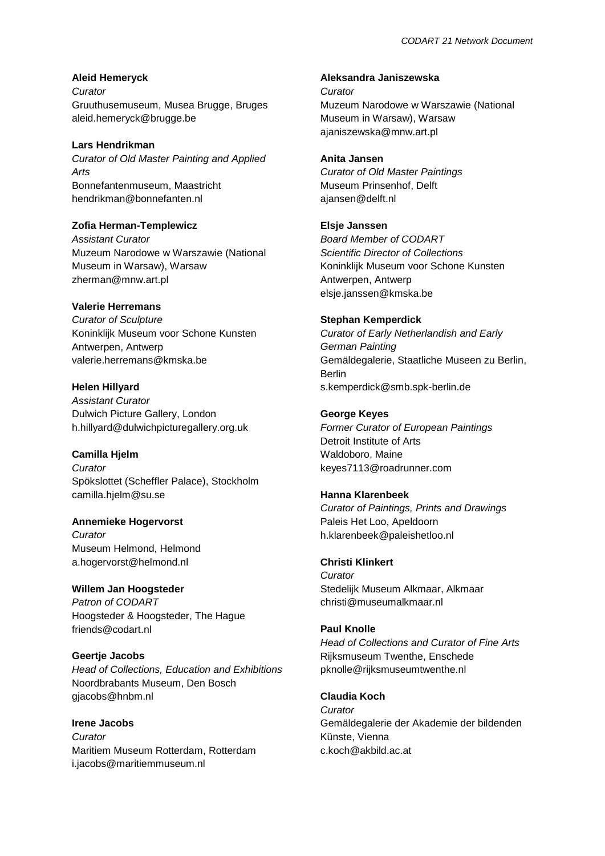# **Aleid Hemeryck**

*Curator* Gruuthusemuseum, Musea Brugge, Bruges aleid.hemeryck@brugge.be

**Lars Hendrikman**

*Curator of Old Master Painting and Applied Arts* Bonnefantenmuseum, Maastricht hendrikman@bonnefanten.nl

# **Zofia Herman-Templewicz**

*Assistant Curator* Muzeum Narodowe w Warszawie (National Museum in Warsaw), Warsaw zherman@mnw.art.pl

# **Valerie Herremans**

*Curator of Sculpture* Koninklijk Museum voor Schone Kunsten Antwerpen, Antwerp valerie.herremans@kmska.be

# **Helen Hillyard**

*Assistant Curator* Dulwich Picture Gallery, London h.hillyard@dulwichpicturegallery.org.uk

## **Camilla Hjelm**

*Curator* Spökslottet (Scheffler Palace), Stockholm camilla.hjelm@su.se

# **Annemieke Hogervorst**

*Curator* Museum Helmond, Helmond a.hogervorst@helmond.nl

**Willem Jan Hoogsteder** *Patron of CODART* Hoogsteder & Hoogsteder, The Hague friends@codart.nl

# **Geertje Jacobs** *Head of Collections, Education and Exhibitions* Noordbrabants Museum, Den Bosch gjacobs@hnbm.nl

**Irene Jacobs** *Curator* Maritiem Museum Rotterdam, Rotterdam i.jacobs@maritiemmuseum.nl

### **Aleksandra Janiszewska**

*Curator* Muzeum Narodowe w Warszawie (National Museum in Warsaw), Warsaw ajaniszewska@mnw.art.pl

# **Anita Jansen**

*Curator of Old Master Paintings* Museum Prinsenhof, Delft ajansen@delft.nl

# **Elsje Janssen**

*Board Member of CODART Scientific Director of Collections* Koninklijk Museum voor Schone Kunsten Antwerpen, Antwerp elsje.janssen@kmska.be

# **Stephan Kemperdick**

*Curator of Early Netherlandish and Early German Painting* Gemäldegalerie, Staatliche Museen zu Berlin, Berlin s.kemperdick@smb.spk-berlin.de

# **George Keyes**

*Former Curator of European Paintings* Detroit Institute of Arts Waldoboro, Maine keyes7113@roadrunner.com

## **Hanna Klarenbeek**

*Curator of Paintings, Prints and Drawings* Paleis Het Loo, Apeldoorn h.klarenbeek@paleishetloo.nl

## **Christi Klinkert**

*Curator* Stedelijk Museum Alkmaar, Alkmaar christi@museumalkmaar.nl

# **Paul Knolle**

*Head of Collections and Curator of Fine Arts* Rijksmuseum Twenthe, Enschede pknolle@rijksmuseumtwenthe.nl

# **Claudia Koch**

*Curator* Gemäldegalerie der Akademie der bildenden Künste, Vienna c.koch@akbild.ac.at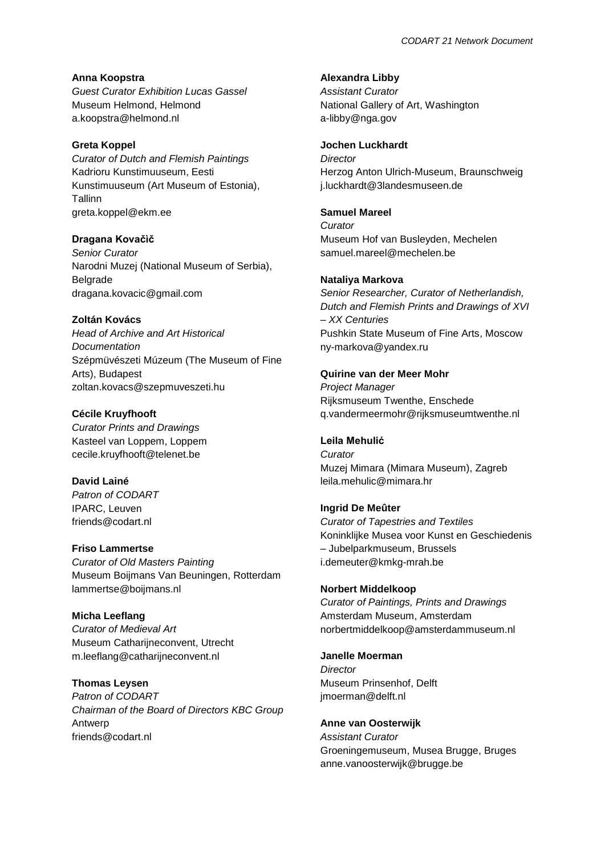**Anna Koopstra** *Guest Curator Exhibition Lucas Gassel* Museum Helmond, Helmond a.koopstra@helmond.nl

### **Greta Koppel**

*Curator of Dutch and Flemish Paintings* Kadrioru Kunstimuuseum, Eesti Kunstimuuseum (Art Museum of Estonia), Tallinn greta.koppel@ekm.ee

#### **Dragana Kovačìč**

*Senior Curator* Narodni Muzej (National Museum of Serbia), Belgrade dragana.kovacic@gmail.com

### **Zoltán Kovács**

*Head of Archive and Art Historical Documentation* Szépmüvészeti Múzeum (The Museum of Fine Arts), Budapest zoltan.kovacs@szepmuveszeti.hu

#### **Cécile Kruyfhooft**

*Curator Prints and Drawings* Kasteel van Loppem, Loppem cecile.kruyfhooft@telenet.be

## **David Lainé**

*Patron of CODART* IPARC, Leuven friends@codart.nl

#### **Friso Lammertse**

*Curator of Old Masters Painting* Museum Boijmans Van Beuningen, Rotterdam lammertse@boijmans.nl

## **Micha Leeflang**

*Curator of Medieval Art* Museum Catharijneconvent, Utrecht m.leeflang@catharijneconvent.nl

## **Thomas Leysen**

*Patron of CODART Chairman of the Board of Directors KBC Group* Antwerp friends@codart.nl

### **Alexandra Libby**

*Assistant Curator* National Gallery of Art, Washington a-libby@nga.gov

# **Jochen Luckhardt**

*Director* Herzog Anton Ulrich-Museum, Braunschweig j.luckhardt@3landesmuseen.de

#### **Samuel Mareel**

*Curator* Museum Hof van Busleyden, Mechelen samuel.mareel@mechelen.be

#### **Nataliya Markova**

*Senior Researcher, Curator of Netherlandish, Dutch and Flemish Prints and Drawings of XVI – XX Centuries* Pushkin State Museum of Fine Arts, Moscow ny-markova@yandex.ru

### **Quirine van der Meer Mohr**

*Project Manager* Rijksmuseum Twenthe, Enschede q.vandermeermohr@rijksmuseumtwenthe.nl

## **Leila Mehulić**

*Curator* Muzej Mimara (Mimara Museum), Zagreb leila.mehulic@mimara.hr

## **Ingrid De Meûter**

*Curator of Tapestries and Textiles* Koninklijke Musea voor Kunst en Geschiedenis – Jubelparkmuseum, Brussels i.demeuter@kmkg-mrah.be

#### **Norbert Middelkoop**

*Curator of Paintings, Prints and Drawings* Amsterdam Museum, Amsterdam norbertmiddelkoop@amsterdammuseum.nl

#### **Janelle Moerman**

*Director* Museum Prinsenhof, Delft jmoerman@delft.nl

#### **Anne van Oosterwijk**

*Assistant Curator* Groeningemuseum, Musea Brugge, Bruges anne.vanoosterwijk@brugge.be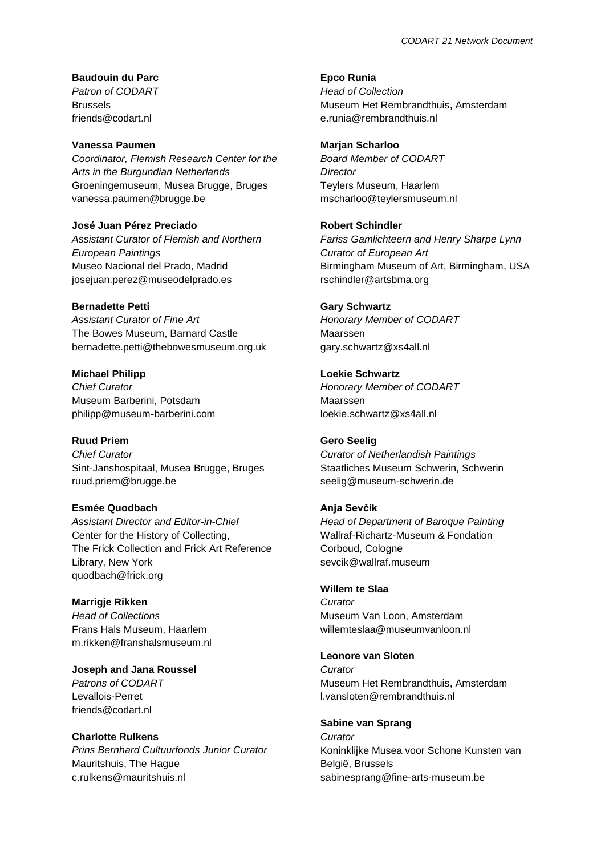**Baudouin du Parc** *Patron of CODART* Brussels friends@codart.nl

#### **Vanessa Paumen**

*Coordinator, Flemish Research Center for the Arts in the Burgundian Netherlands* Groeningemuseum, Musea Brugge, Bruges vanessa.paumen@brugge.be

**José Juan Pérez Preciado** *Assistant Curator of Flemish and Northern European Paintings* Museo Nacional del Prado, Madrid josejuan.perez@museodelprado.es

**Bernadette Petti**

*Assistant Curator of Fine Art* The Bowes Museum, Barnard Castle bernadette.petti@thebowesmuseum.org.uk

**Michael Philipp** *Chief Curator* Museum Barberini, Potsdam philipp@museum-barberini.com

# **Ruud Priem**

*Chief Curator* Sint-Janshospitaal, Musea Brugge, Bruges ruud.priem@brugge.be

## **Esmée Quodbach**

*Assistant Director and Editor-in-Chief* Center for the History of Collecting, The Frick Collection and Frick Art Reference Library, New York quodbach@frick.org

#### **Marrigje Rikken**

*Head of Collections* Frans Hals Museum, Haarlem m.rikken@franshalsmuseum.nl

**Joseph and Jana Roussel**

*Patrons of CODART* Levallois-Perret friends@codart.nl

### **Charlotte Rulkens**

*Prins Bernhard Cultuurfonds Junior Curator* Mauritshuis, The Hague c.rulkens@mauritshuis.nl

**Epco Runia** *Head of Collection* Museum Het Rembrandthuis, Amsterdam e.runia@rembrandthuis.nl

### **Marjan Scharloo**

*Board Member of CODART Director* Teylers Museum, Haarlem mscharloo@teylersmuseum.nl

### **Robert Schindler**

*Fariss Gamlichteern and Henry Sharpe Lynn Curator of European Art* Birmingham Museum of Art, Birmingham, USA rschindler@artsbma.org

#### **Gary Schwartz**

*Honorary Member of CODART* Maarssen gary.schwartz@xs4all.nl

**Loekie Schwartz** *Honorary Member of CODART* Maarssen loekie.schwartz@xs4all.nl

#### **Gero Seelig**

*Curator of Netherlandish Paintings* Staatliches Museum Schwerin, Schwerin seelig@museum-schwerin.de

#### **Anja Sevčík**

*Head of Department of Baroque Painting* Wallraf-Richartz-Museum & Fondation Corboud, Cologne sevcik@wallraf.museum

## **Willem te Slaa**

*Curator* Museum Van Loon, Amsterdam willemteslaa@museumvanloon.nl

## **Leonore van Sloten**

*Curator* Museum Het Rembrandthuis, Amsterdam l.vansloten@rembrandthuis.nl

### **Sabine van Sprang**

*Curator* Koninklijke Musea voor Schone Kunsten van België, Brussels sabinesprang@fine-arts-museum.be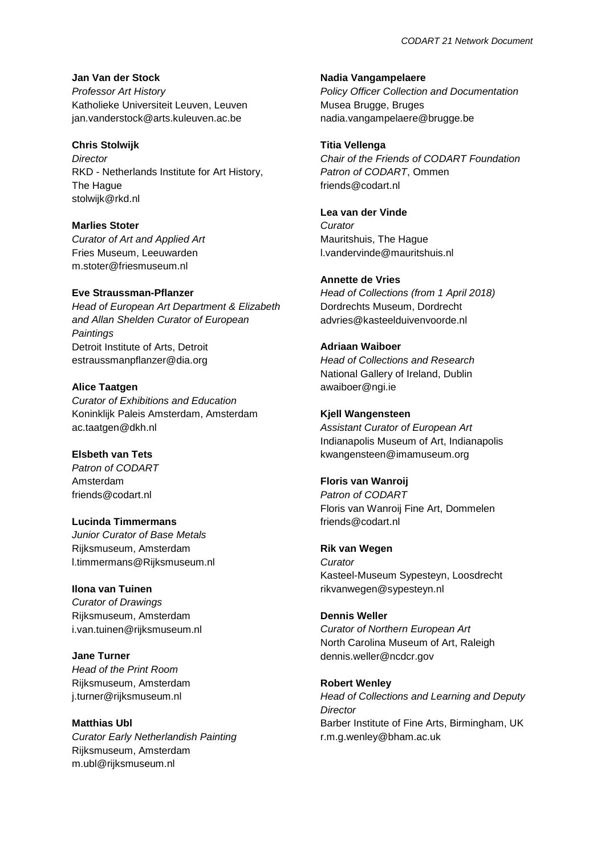**Jan Van der Stock**

*Professor Art History* Katholieke Universiteit Leuven, Leuven jan.vanderstock@arts.kuleuven.ac.be

#### **Chris Stolwijk**

*Director* RKD - Netherlands Institute for Art History, The Hague stolwijk@rkd.nl

## **Marlies Stoter**

*Curator of Art and Applied Art* Fries Museum, Leeuwarden m.stoter@friesmuseum.nl

### **Eve Straussman-Pflanzer**

*Head of European Art Department & Elizabeth and Allan Shelden Curator of European Paintings* Detroit Institute of Arts, Detroit estraussmanpflanzer@dia.org

### **Alice Taatgen**

*Curator of Exhibitions and Education* Koninklijk Paleis Amsterdam, Amsterdam ac.taatgen@dkh.nl

## **Elsbeth van Tets**

*Patron of CODART* Amsterdam friends@codart.nl

#### **Lucinda Timmermans**

*Junior Curator of Base Metals* Rijksmuseum, Amsterdam l.timmermans@Rijksmuseum.nl

#### **Ilona van Tuinen**

*Curator of Drawings* Rijksmuseum, Amsterdam i.van.tuinen@rijksmuseum.nl

**Jane Turner** *Head of the Print Room* Rijksmuseum, Amsterdam j.turner@rijksmuseum.nl

# **Matthias Ubl**

*Curator Early Netherlandish Painting* Rijksmuseum, Amsterdam m.ubl@rijksmuseum.nl

#### **Nadia Vangampelaere**

*Policy Officer Collection and Documentation* Musea Brugge, Bruges nadia.vangampelaere@brugge.be

### **Titia Vellenga**

*Chair of the Friends of CODART Foundation Patron of CODART*, Ommen friends@codart.nl

# **Lea van der Vinde**

*Curator* Mauritshuis, The Hague l.vandervinde@mauritshuis.nl

### **Annette de Vries**

*Head of Collections (from 1 April 2018)* Dordrechts Museum, Dordrecht advries@kasteelduivenvoorde.nl

# **Adriaan Waiboer**

*Head of Collections and Research* National Gallery of Ireland, Dublin awaiboer@ngi.ie

### **Kjell Wangensteen**

*Assistant Curator of European Art* Indianapolis Museum of Art, Indianapolis kwangensteen@imamuseum.org

#### **Floris van Wanroij**

*Patron of CODART* Floris van Wanroij Fine Art, Dommelen friends@codart.nl

#### **Rik van Wegen**

*Curator* Kasteel-Museum Sypesteyn, Loosdrecht rikvanwegen@sypesteyn.nl

#### **Dennis Weller**

*Curator of Northern European Art* North Carolina Museum of Art, Raleigh dennis.weller@ncdcr.gov

# **Robert Wenley** *Head of Collections and Learning and Deputy Director*

Barber Institute of Fine Arts, Birmingham, UK r.m.g.wenley@bham.ac.uk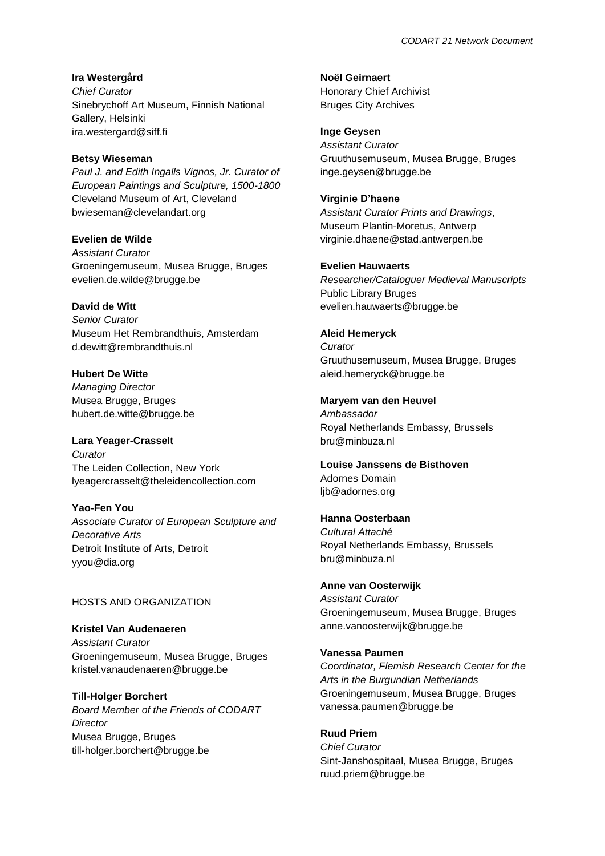**Ira Westergård** *Chief Curator* Sinebrychoff Art Museum, Finnish National Gallery, Helsinki ira.westergard@siff.fi

#### **Betsy Wieseman**

*Paul J. and Edith Ingalls Vignos, Jr. Curator of European Paintings and Sculpture, 1500-1800* Cleveland Museum of Art, Cleveland bwieseman@clevelandart.org

**Evelien de Wilde** *Assistant Curator* Groeningemuseum, Musea Brugge, Bruges evelien.de.wilde@brugge.be

**David de Witt** *Senior Curator* Museum Het Rembrandthuis, Amsterdam d.dewitt@rembrandthuis.nl

**Hubert De Witte** *Managing Director* Musea Brugge, Bruges hubert.de.witte@brugge.be

**Lara Yeager-Crasselt** *Curator* The Leiden Collection, New York lyeagercrasselt@theleidencollection.com

**Yao-Fen You** *Associate Curator of European Sculpture and Decorative Arts* Detroit Institute of Arts, Detroit yyou@dia.org

### HOSTS AND ORGANIZATION

**Kristel Van Audenaeren** *Assistant Curator* Groeningemuseum, Musea Brugge, Bruges kristel.vanaudenaeren@brugge.be

**Till-Holger Borchert** *Board Member of the Friends of CODART Director* Musea Brugge, Bruges till-holger.borchert@brugge.be

**Noël Geirnaert** Honorary Chief Archivist Bruges City Archives

**Inge Geysen** *Assistant Curator* Gruuthusemuseum, Musea Brugge, Bruges inge.geysen@brugge.be

**Virginie D'haene** *Assistant Curator Prints and Drawings*, Museum Plantin-Moretus, Antwerp virginie.dhaene@stad.antwerpen.be

#### **Evelien Hauwaerts**

*Researcher/Cataloguer Medieval Manuscripts* Public Library Bruges evelien.hauwaerts@brugge.be

**Aleid Hemeryck**

*Curator* Gruuthusemuseum, Musea Brugge, Bruges aleid.hemeryck@brugge.be

**Maryem van den Heuvel**

*Ambassador* Royal Netherlands Embassy, Brussels bru@minbuza.nl

**Louise Janssens de Bisthoven** Adornes Domain ljb@adornes.org

**Hanna Oosterbaan** *Cultural Attaché* Royal Netherlands Embassy, Brussels bru@minbuza.nl

**Anne van Oosterwijk** *Assistant Curator* Groeningemuseum, Musea Brugge, Bruges anne.vanoosterwijk@brugge.be

#### **Vanessa Paumen**

*Coordinator, Flemish Research Center for the Arts in the Burgundian Netherlands* Groeningemuseum, Musea Brugge, Bruges vanessa.paumen@brugge.be

**Ruud Priem**

*Chief Curator* Sint-Janshospitaal, Musea Brugge, Bruges ruud.priem@brugge.be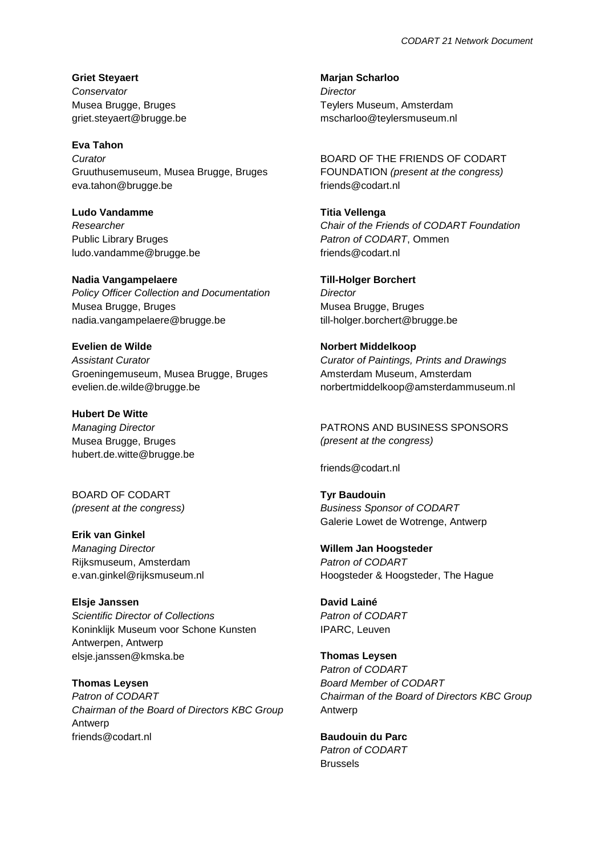**Griet Steyaert** *Conservator* Musea Brugge, Bruges griet.steyaert@brugge.be

**Eva Tahon**

*Curator* Gruuthusemuseum, Musea Brugge, Bruges eva.tahon@brugge.be

**Ludo Vandamme** *Researcher* Public Library Bruges ludo.vandamme@brugge.be

**Nadia Vangampelaere** *Policy Officer Collection and Documentation* Musea Brugge, Bruges nadia.vangampelaere@brugge.be

**Evelien de Wilde** *Assistant Curator* Groeningemuseum, Musea Brugge, Bruges evelien.de.wilde@brugge.be

**Hubert De Witte** *Managing Director* Musea Brugge, Bruges hubert.de.witte@brugge.be

BOARD OF CODART *(present at the congress)*

**Erik van Ginkel** *Managing Director* Rijksmuseum, Amsterdam e.van.ginkel@rijksmuseum.nl

**Elsje Janssen** *Scientific Director of Collections* Koninklijk Museum voor Schone Kunsten Antwerpen, Antwerp elsje.janssen@kmska.be

**Thomas Leysen** *Patron of CODART Chairman of the Board of Directors KBC Group* Antwerp friends@codart.nl

**Marjan Scharloo** *Director* Teylers Museum, Amsterdam mscharloo@teylersmuseum.nl

BOARD OF THE FRIENDS OF CODART FOUNDATION *(present at the congress)* friends@codart.nl

**Titia Vellenga** *Chair of the Friends of CODART Foundation Patron of CODART*, Ommen friends@codart.nl

**Till-Holger Borchert** *Director* Musea Brugge, Bruges till-holger.borchert@brugge.be

**Norbert Middelkoop** *Curator of Paintings, Prints and Drawings* Amsterdam Museum, Amsterdam norbertmiddelkoop@amsterdammuseum.nl

PATRONS AND BUSINESS SPONSORS *(present at the congress)*

friends@codart.nl

**Tyr Baudouin** *Business Sponsor of CODART* Galerie Lowet de Wotrenge, Antwerp

**Willem Jan Hoogsteder** *Patron of CODART* Hoogsteder & Hoogsteder, The Hague

**David Lainé** *Patron of CODART* IPARC, Leuven

**Thomas Leysen** *Patron of CODART Board Member of CODART Chairman of the Board of Directors KBC Group* Antwerp

**Baudouin du Parc** *Patron of CODART* Brussels